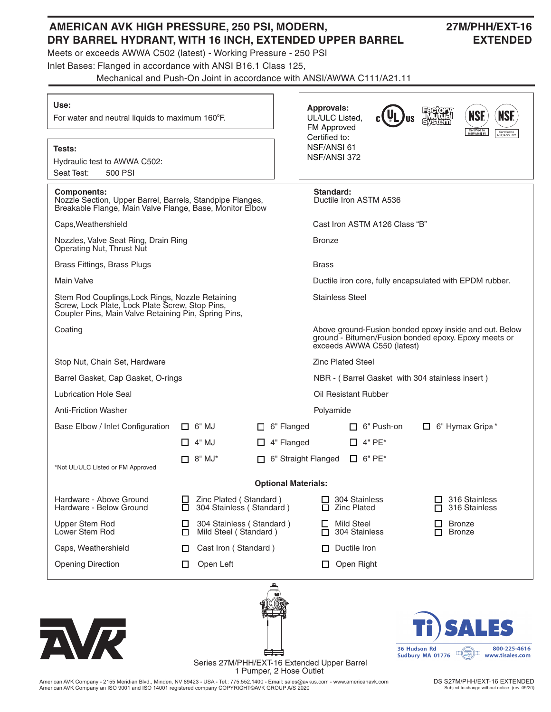## **AMERICAN AVK HIGH PRESSURE, 250 PSI, MODERN, 27M/PHH/EXT-16 DRY BARREL HYDRANT, WITH 16 INCH, EXTENDED UPPER BARREL EXTENDED**

Meets or exceeds AWWA C502 (latest) - Working Pressure - 250 PSI

Inlet Bases: Flanged in accordance with ANSI B16.1 Class 125,

Mechanical and Push-On Joint in accordance with ANSI/AWWA C111/A21.11

| Use:<br>For water and neutral liquids to maximum 160°F.                                                                                                     |                                                                   | <b>Approvals:</b><br><b>NSF</b><br><b>NSF.</b><br>UL/ULC Listed.<br>FM Approved<br>Certified to<br>NSF/ANSI 61<br>Certified to<br>NSF/ANSI 372 |  |  |  |  |
|-------------------------------------------------------------------------------------------------------------------------------------------------------------|-------------------------------------------------------------------|------------------------------------------------------------------------------------------------------------------------------------------------|--|--|--|--|
| Tests:<br>Hydraulic test to AWWA C502:<br>Seat Test:<br>500 PSI                                                                                             |                                                                   | Certified to:<br>NSF/ANSI 61<br>NSF/ANSI 372                                                                                                   |  |  |  |  |
| <b>Components:</b><br>Nozzle Section, Upper Barrel, Barrels, Standpipe Flanges,<br>Breakable Flange, Main Valve Flange, Base, Monitor Elbow                 |                                                                   | Standard:<br>Ductile Iron ASTM A536                                                                                                            |  |  |  |  |
| Caps, Weathershield                                                                                                                                         |                                                                   | Cast Iron ASTM A126 Class "B"                                                                                                                  |  |  |  |  |
| Nozzles, Valve Seat Ring, Drain Ring<br>Operating Nut, Thrust Nut                                                                                           |                                                                   | <b>Bronze</b>                                                                                                                                  |  |  |  |  |
| Brass Fittings, Brass Plugs                                                                                                                                 |                                                                   | <b>Brass</b>                                                                                                                                   |  |  |  |  |
| <b>Main Valve</b>                                                                                                                                           |                                                                   | Ductile iron core, fully encapsulated with EPDM rubber.                                                                                        |  |  |  |  |
| Stem Rod Couplings, Lock Rings, Nozzle Retaining<br>Screw, Lock Plate, Lock Plate Screw, Stop Pins,<br>Coupler Pins, Main Valve Retaining Pin, Spring Pins, |                                                                   | <b>Stainless Steel</b>                                                                                                                         |  |  |  |  |
| Coating                                                                                                                                                     |                                                                   | Above ground-Fusion bonded epoxy inside and out. Below<br>ground - Bitumen/Fusion bonded epoxy. Epoxy meets or<br>exceeds AWWA C550 (latest)   |  |  |  |  |
| Stop Nut, Chain Set, Hardware                                                                                                                               |                                                                   | <b>Zinc Plated Steel</b>                                                                                                                       |  |  |  |  |
| Barrel Gasket, Cap Gasket, O-rings                                                                                                                          |                                                                   | NBR - (Barrel Gasket with 304 stainless insert)                                                                                                |  |  |  |  |
| <b>Lubrication Hole Seal</b>                                                                                                                                |                                                                   | Oil Resistant Rubber                                                                                                                           |  |  |  |  |
| <b>Anti-Friction Washer</b>                                                                                                                                 |                                                                   | Polyamide                                                                                                                                      |  |  |  |  |
| Base Elbow / Inlet Configuration                                                                                                                            | $\Box$ 6" MJ<br>$\Box$ 6" Flanged                                 | $\Box$ 6" Hymax Grip <sup>®*</sup><br>$\Box$ 6" Push-on                                                                                        |  |  |  |  |
|                                                                                                                                                             | $\Box$ 4" MJ<br>$\Box$ 4" Flanged                                 | □ 4" PE*                                                                                                                                       |  |  |  |  |
| *Not UL/ULC Listed or FM Approved                                                                                                                           | $\Box$ 8" MJ*                                                     | 6" Straight Flanged<br>$\Box$ 6" PE*                                                                                                           |  |  |  |  |
|                                                                                                                                                             |                                                                   | <b>Optional Materials:</b>                                                                                                                     |  |  |  |  |
| Hardware - Above Ground<br>Hardware - Below Ground                                                                                                          | Zinc Plated (Standard)<br>⊔<br>304 Stainless (Standard)<br>$\Box$ | 304 Stainless<br>316 Stainless<br>⊔<br>316 Stainless<br><b>Zinc Plated</b>                                                                     |  |  |  |  |
| Upper Stem Rod<br>Lower Stem Rod                                                                                                                            | 304 Stainless (Standard)<br>ப<br>Mild Steel (Standard)<br>□       | <b>Mild Steel</b><br><b>Bronze</b><br>304 Stainless<br><b>Bronze</b><br>п<br>п                                                                 |  |  |  |  |
| Caps, Weathershield                                                                                                                                         | Cast Iron (Standard)<br>□                                         | Ductile Iron                                                                                                                                   |  |  |  |  |
| <b>Opening Direction</b>                                                                                                                                    | Open Left<br>ப                                                    | Open Right<br>ப                                                                                                                                |  |  |  |  |
| NA                                                                                                                                                          |                                                                   | 5<br>800-225-4616<br>36 Hudson Rd<br>ш<br>$L_{\text{avg}}$<br>Sudbury MA 01776<br>www.tisales.com                                              |  |  |  |  |

Series 27M/PHH/EXT-16 Extended Upper Barrel 1 Pumper, 2 Hose Outlet

American AVK Company - 2155 Meridian Blvd., Minden, NV 89423 - USA - Tel.: 775.552.1400 - Email: sales@avkus.com - www.americanavk.com American AVK Company an ISO 9001 and ISO 14001 registered company COPYRIGHT©AVK GROUP A/S 2020

г. Г

> DS S27M/PHH/EXT-16 EXTENDED Subject to change without notice. (rev. 09/20)